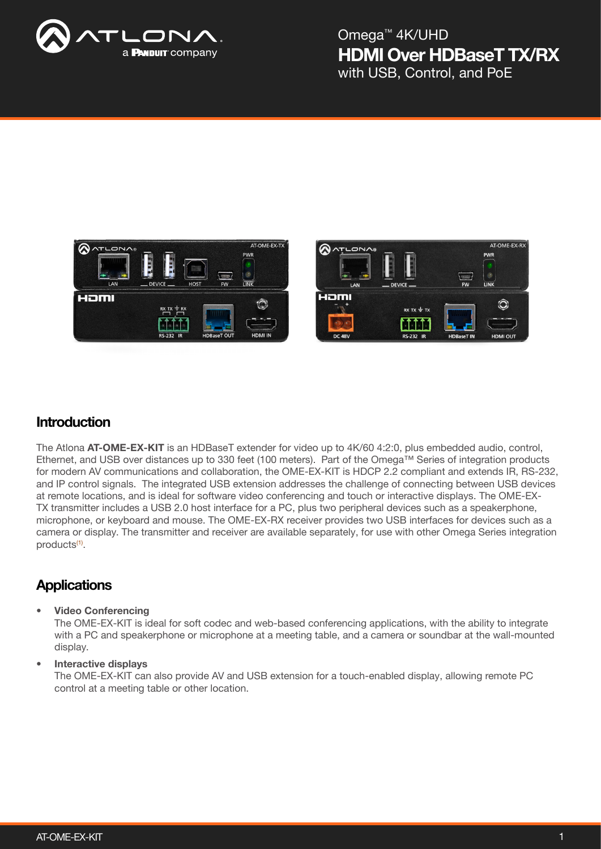

## HDMI Over HDBaseT TX/RX Omega™ 4K/UHD with USB, Control, and PoE





### **Introduction**

The Atlona AT-OME-EX-KIT is an HDBaseT extender for video up to 4K/60 4:2:0, plus embedded audio, control, Ethernet, and USB over distances up to 330 feet (100 meters). Part of the Omega™ Series of integration products for modern AV communications and collaboration, the OME-EX-KIT is HDCP 2.2 compliant and extends IR, RS-232, and IP control signals. The integrated USB extension addresses the challenge of connecting between USB devices at remote locations, and is ideal for software video conferencing and touch or interactive displays. The OME-EX-TX transmitter includes a USB 2.0 host interface for a PC, plus two peripheral devices such as a speakerphone, microphone, or keyboard and mouse. The OME-EX-RX receiver provides two USB interfaces for devices such as a camera or display. The transmitter and receiver are available separately, for use with other Omega Series integration products<sup>(1)</sup>.

### **Applications**

#### • Video Conferencing

The OME-EX-KIT is ideal for soft codec and web-based conferencing applications, with the ability to integrate with a PC and speakerphone or microphone at a meeting table, and a camera or soundbar at the wall-mounted display.

#### • Interactive displays

The OME-EX-KIT can also provide AV and USB extension for a touch-enabled display, allowing remote PC control at a meeting table or other location.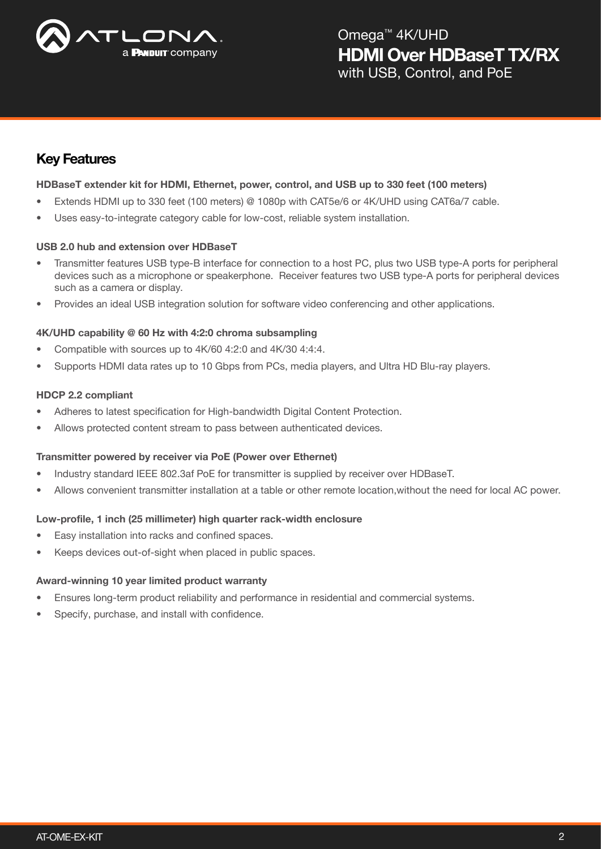

## Key Features

#### HDBaseT extender kit for HDMI, Ethernet, power, control, and USB up to 330 feet (100 meters)

- Extends HDMI up to 330 feet (100 meters) @ 1080p with CAT5e/6 or 4K/UHD using CAT6a/7 cable.
- Uses easy-to-integrate category cable for low-cost, reliable system installation.

#### USB 2.0 hub and extension over HDBaseT

- Transmitter features USB type-B interface for connection to a host PC, plus two USB type-A ports for peripheral devices such as a microphone or speakerphone. Receiver features two USB type-A ports for peripheral devices such as a camera or display.
- Provides an ideal USB integration solution for software video conferencing and other applications.

#### 4K/UHD capability @ 60 Hz with 4:2:0 chroma subsampling

- Compatible with sources up to 4K/60 4:2:0 and 4K/30 4:4:4.
- Supports HDMI data rates up to 10 Gbps from PCs, media players, and Ultra HD Blu-ray players.

#### HDCP 2.2 compliant

- Adheres to latest specification for High-bandwidth Digital Content Protection.
- Allows protected content stream to pass between authenticated devices.

#### Transmitter powered by receiver via PoE (Power over Ethernet)

- Industry standard IEEE 802.3af PoE for transmitter is supplied by receiver over HDBaseT.
- Allows convenient transmitter installation at a table or other remote location,without the need for local AC power.

#### Low-profile, 1 inch (25 millimeter) high quarter rack-width enclosure

- Easy installation into racks and confined spaces.
- Keeps devices out-of-sight when placed in public spaces.

#### Award-winning 10 year limited product warranty

- Ensures long-term product reliability and performance in residential and commercial systems.
- Specify, purchase, and install with confidence.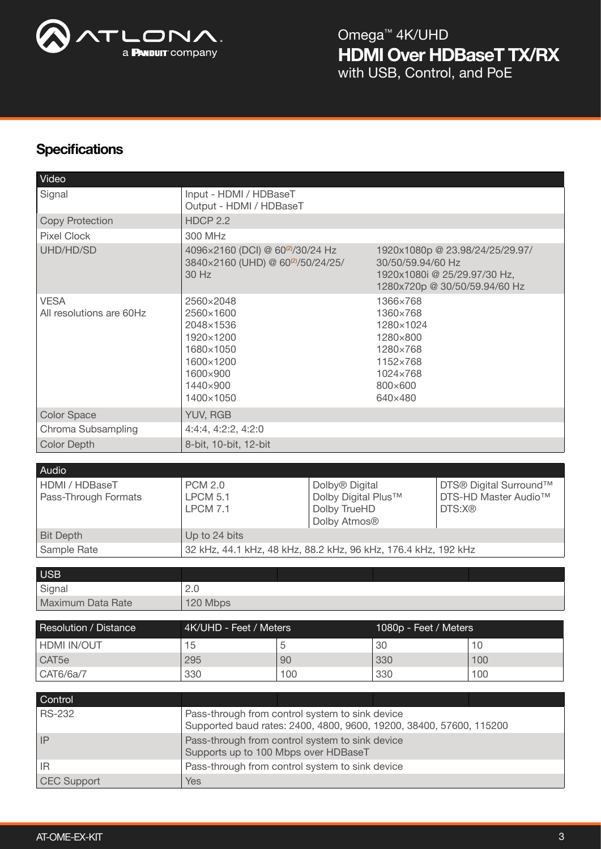

## **Specifications**

| Video                                   |                                                                                                                        |     |                                                                                                                       |                       |                                                                      |     |
|-----------------------------------------|------------------------------------------------------------------------------------------------------------------------|-----|-----------------------------------------------------------------------------------------------------------------------|-----------------------|----------------------------------------------------------------------|-----|
| Signal                                  | Input - HDMI / HDBaseT<br>Output - HDMI / HDBaseT                                                                      |     |                                                                                                                       |                       |                                                                      |     |
| <b>Copy Protection</b>                  | <b>HDCP 2.2</b>                                                                                                        |     |                                                                                                                       |                       |                                                                      |     |
| <b>Pixel Clock</b>                      | 300 MHz                                                                                                                |     |                                                                                                                       |                       |                                                                      |     |
| UHD/HD/SD                               | 4096×2160 (DCI) @ 60 <sup>(2)</sup> /30/24 Hz<br>3840×2160 (UHD) @ 60 <sup>(2)</sup> /50/24/25/<br>30 Hz               |     | 1920x1080p @ 23.98/24/25/29.97/<br>30/50/59.94/60 Hz<br>1920x1080i @ 25/29.97/30 Hz,<br>1280x720p @ 30/50/59.94/60 Hz |                       |                                                                      |     |
| <b>VESA</b><br>All resolutions are 60Hz | 2560×2048<br>2560×1600<br>2048×1536<br>1920×1200<br>1680×1050<br>1600×1200<br>1600×900<br>1440×900<br>1400×1050        |     | 1366×768<br>1360×768<br>1280×1024<br>1280×800<br>1280×768<br>1152×768<br>1024×768<br>800×600<br>640×480               |                       |                                                                      |     |
| <b>Color Space</b>                      | YUV, RGB                                                                                                               |     |                                                                                                                       |                       |                                                                      |     |
| Chroma Subsampling                      | 4:4:4, 4:2:2, 4:2:0                                                                                                    |     |                                                                                                                       |                       |                                                                      |     |
| <b>Color Depth</b>                      | 8-bit, 10-bit, 12-bit                                                                                                  |     |                                                                                                                       |                       |                                                                      |     |
|                                         |                                                                                                                        |     |                                                                                                                       |                       |                                                                      |     |
| Audio                                   |                                                                                                                        |     |                                                                                                                       |                       |                                                                      |     |
| HDMI / HDBaseT<br>Pass-Through Formats  | <b>PCM 2.0</b><br><b>LPCM 5.1</b><br><b>LPCM 7.1</b>                                                                   |     | Dolby <sup>®</sup> Digital<br>Dolby Digital Plus™<br>Dolby TrueHD<br>Dolby Atmos®                                     |                       | DTS® Digital Surround™<br>DTS-HD Master Audio <sup>™</sup><br>DTS:X® |     |
| <b>Bit Depth</b>                        | Up to 24 bits                                                                                                          |     |                                                                                                                       |                       |                                                                      |     |
| Sample Rate                             | 32 kHz, 44.1 kHz, 48 kHz, 88.2 kHz, 96 kHz, 176.4 kHz, 192 kHz                                                         |     |                                                                                                                       |                       |                                                                      |     |
|                                         |                                                                                                                        |     |                                                                                                                       |                       |                                                                      |     |
| <b>USB</b>                              |                                                                                                                        |     |                                                                                                                       |                       |                                                                      |     |
| Signal                                  | 2.0                                                                                                                    |     |                                                                                                                       |                       |                                                                      |     |
| Maximum Data Rate                       | 120 Mbps                                                                                                               |     |                                                                                                                       |                       |                                                                      |     |
| Resolution / Distance                   | 4K/UHD - Feet / Meters                                                                                                 |     |                                                                                                                       | 1080p - Feet / Meters |                                                                      |     |
| HDMI IN/OUT                             | 15                                                                                                                     | 5   |                                                                                                                       | 30                    |                                                                      | 10  |
| CAT5e                                   | 295                                                                                                                    | 90  |                                                                                                                       | 330                   |                                                                      | 100 |
| CAT6/6a/7                               | 330                                                                                                                    | 100 |                                                                                                                       | 330                   |                                                                      | 100 |
|                                         |                                                                                                                        |     |                                                                                                                       |                       |                                                                      |     |
| Control                                 |                                                                                                                        |     |                                                                                                                       |                       |                                                                      |     |
| <b>RS-232</b>                           | Pass-through from control system to sink device<br>Supported baud rates: 2400, 4800, 9600, 19200, 38400, 57600, 115200 |     |                                                                                                                       |                       |                                                                      |     |
| IP                                      | Pass-through from control system to sink device<br>Supports up to 100 Mbps over HDBaseT                                |     |                                                                                                                       |                       |                                                                      |     |
| IR.                                     | Pass-through from control system to sink device                                                                        |     |                                                                                                                       |                       |                                                                      |     |
| <b>CEC Support</b>                      | <b>Yes</b>                                                                                                             |     |                                                                                                                       |                       |                                                                      |     |
|                                         |                                                                                                                        |     |                                                                                                                       |                       |                                                                      |     |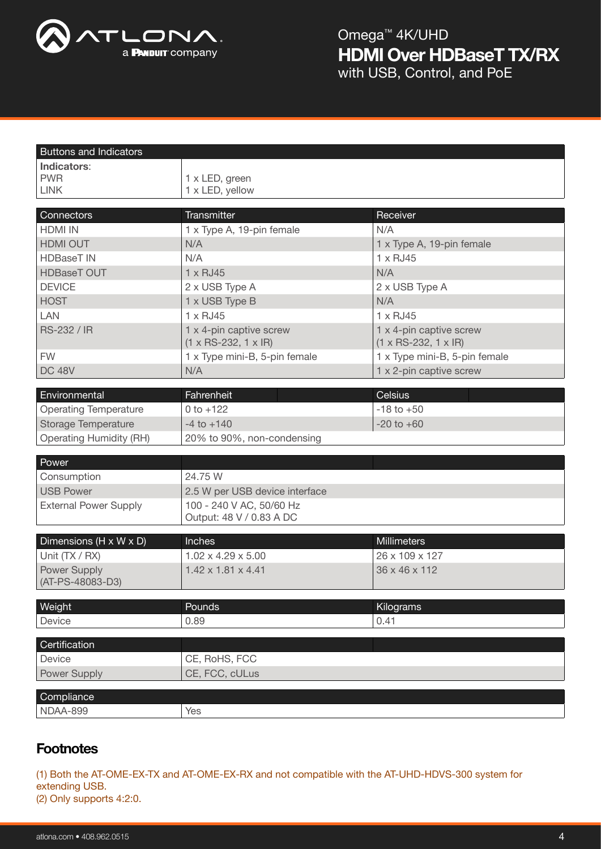

Buttons and Indicators

| Indicators:                             |                                                             |                                                             |  |  |  |
|-----------------------------------------|-------------------------------------------------------------|-------------------------------------------------------------|--|--|--|
| <b>PWR</b>                              | 1 x LED, green                                              |                                                             |  |  |  |
| <b>LINK</b>                             | 1 x LED, yellow                                             |                                                             |  |  |  |
|                                         |                                                             |                                                             |  |  |  |
| Connectors                              | Transmitter                                                 | Receiver                                                    |  |  |  |
| <b>HDMI IN</b>                          | 1 x Type A, 19-pin female                                   | N/A                                                         |  |  |  |
| HDMI OUT                                | N/A                                                         | 1 x Type A, 19-pin female                                   |  |  |  |
| <b>HDBaseT IN</b>                       | N/A                                                         | $1 \times$ RJ45                                             |  |  |  |
| <b>HDBaseT OUT</b>                      | 1 x RJ45                                                    | N/A                                                         |  |  |  |
| <b>DEVICE</b>                           | 2 x USB Type A                                              | 2 x USB Type A                                              |  |  |  |
| <b>HOST</b>                             | 1 x USB Type B                                              | N/A                                                         |  |  |  |
| LAN                                     | $1 \times$ RJ45                                             | $1 \times$ RJ45                                             |  |  |  |
| RS-232 / IR                             | 1 x 4-pin captive screw<br>$(1 \times RS-232, 1 \times IR)$ | 1 x 4-pin captive screw<br>$(1 \times RS-232, 1 \times IR)$ |  |  |  |
| <b>FW</b>                               | 1 x Type mini-B, 5-pin female                               | 1 x Type mini-B, 5-pin female                               |  |  |  |
| <b>DC 48V</b>                           | N/A                                                         | 1 x 2-pin captive screw                                     |  |  |  |
|                                         |                                                             |                                                             |  |  |  |
| Environmental                           | Fahrenheit                                                  | <b>Celsius</b>                                              |  |  |  |
| <b>Operating Temperature</b>            | 0 to $+122$                                                 | $-18$ to $+50$                                              |  |  |  |
| <b>Storage Temperature</b>              | $-4$ to $+140$                                              | $-20$ to $+60$                                              |  |  |  |
| <b>Operating Humidity (RH)</b>          | 20% to 90%, non-condensing                                  |                                                             |  |  |  |
| Power                                   |                                                             |                                                             |  |  |  |
| Consumption                             | 24.75 W                                                     |                                                             |  |  |  |
| <b>USB Power</b>                        | 2.5 W per USB device interface                              |                                                             |  |  |  |
| <b>External Power Supply</b>            | 100 - 240 V AC, 50/60 Hz                                    |                                                             |  |  |  |
|                                         | Output: 48 V / 0.83 A DC                                    |                                                             |  |  |  |
|                                         |                                                             |                                                             |  |  |  |
| Dimensions (H x W x D)                  | Inches                                                      | Millimeters                                                 |  |  |  |
| Unit (TX / RX)                          | $1.02 \times 4.29 \times 5.00$                              | 26 x 109 x 127                                              |  |  |  |
| <b>Power Supply</b><br>(AT-PS-48083-D3) | $1.42 \times 1.81 \times 4.41$                              | 36 x 46 x 112                                               |  |  |  |
|                                         |                                                             |                                                             |  |  |  |
| Weight                                  | Pounds                                                      | Kilograms                                                   |  |  |  |
| Device                                  | 0.89                                                        | 0.41                                                        |  |  |  |
| Certification                           |                                                             |                                                             |  |  |  |
| Device                                  | CE, RoHS, FCC                                               |                                                             |  |  |  |
| Power Supply                            | CE, FCC, cULus                                              |                                                             |  |  |  |
|                                         |                                                             |                                                             |  |  |  |
| Compliance                              |                                                             |                                                             |  |  |  |
| NDAA-899                                | Yes                                                         |                                                             |  |  |  |
|                                         |                                                             |                                                             |  |  |  |

## **Footnotes**

(1) Both the AT-OME-EX-TX and AT-OME-EX-RX and not compatible with the AT-UHD-HDVS-300 system for extending USB.

(2) Only supports 4:2:0.